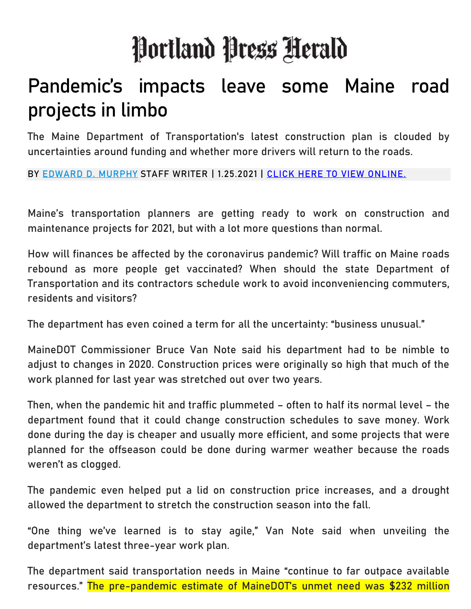## Portland Press Herald

## Pandemic's impacts leave some Maine road projects in limbo

The Maine Department of Transportation's latest construction plan is clouded by uncertainties around funding and whether more drivers will return to the roads.

BY [EDWARD D. MURPHY](https://www.pressherald.com/author/edward-d-murphy) STAFF WRITER | 1.25.2021 | [CLICK HERE TO VIEW ONLINE.](https://www.pressherald.com/2021/01/25/pandemics-impacts-leave-some-maine-road-projects-in-limbo/)

Maine's transportation planners are getting ready to work on construction and maintenance projects for 2021, but with a lot more questions than normal.

How will finances be affected by the coronavirus pandemic? Will traffic on Maine roads rebound as more people get vaccinated? When should the state Department of Transportation and its contractors schedule work to avoid inconveniencing commuters, residents and visitors?

The department has even coined a term for all the uncertainty: "business unusual."

MaineDOT Commissioner Bruce Van Note said his department had to be nimble to adjust to changes in 2020. Construction prices were originally so high that much of the work planned for last year was stretched out over two years.

Then, when the pandemic hit and traffic plummeted – often to half its normal level – the department found that it could change construction schedules to save money. Work done during the day is cheaper and usually more efficient, and some projects that were planned for the offseason could be done during warmer weather because the roads weren't as clogged.

The pandemic even helped put a lid on construction price increases, and a drought allowed the department to stretch the construction season into the fall.

"One thing we've learned is to stay agile," Van Note said when unveiling the department's latest three-year work plan.

The department said transportation needs in Maine "continue to far outpace available resources." The pre-pandemic estimate of MaineDOT's unmet need was \$232 million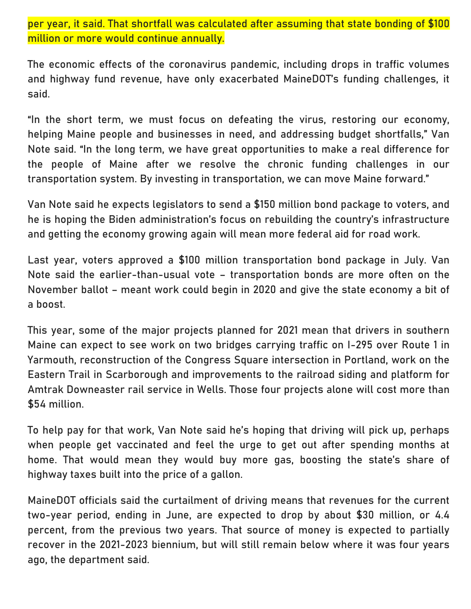per year, it said. That shortfall was calculated after assuming that state bonding of \$100 million or more would continue annually.

The economic effects of the coronavirus pandemic, including drops in traffic volumes and highway fund revenue, have only exacerbated MaineDOT's funding challenges, it said.

"In the short term, we must focus on defeating the virus, restoring our economy, helping Maine people and businesses in need, and addressing budget shortfalls," Van Note said. "In the long term, we have great opportunities to make a real difference for the people of Maine after we resolve the chronic funding challenges in our transportation system. By investing in transportation, we can move Maine forward."

Van Note said he expects legislators to send a \$150 million bond package to voters, and he is hoping the Biden administration's focus on rebuilding the country's infrastructure and getting the economy growing again will mean more federal aid for road work.

Last year, voters approved a \$100 million transportation bond package in July. Van Note said the earlier-than-usual vote – transportation bonds are more often on the November ballot – meant work could begin in 2020 and give the state economy a bit of a boost.

This year, some of the major projects planned for 2021 mean that drivers in southern Maine can expect to see work on two bridges carrying traffic on I-295 over Route 1 in Yarmouth, reconstruction of the Congress Square intersection in Portland, work on the Eastern Trail in Scarborough and improvements to the railroad siding and platform for Amtrak Downeaster rail service in Wells. Those four projects alone will cost more than \$54 million.

To help pay for that work, Van Note said he's hoping that driving will pick up, perhaps when people get vaccinated and feel the urge to get out after spending months at home. That would mean they would buy more gas, boosting the state's share of highway taxes built into the price of a gallon.

MaineDOT officials said the curtailment of driving means that revenues for the current two-year period, ending in June, are expected to drop by about \$30 million, or 4.4 percent, from the previous two years. That source of money is expected to partially recover in the 2021-2023 biennium, but will still remain below where it was four years ago, the department said.